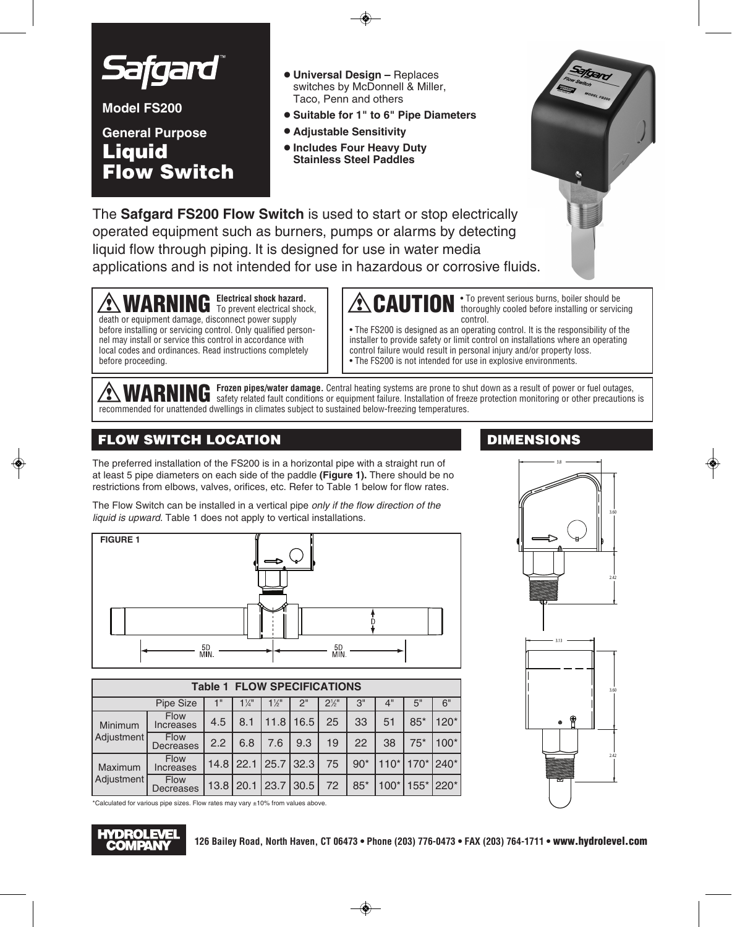

**Model FS200**

## **General Purpose Liquid Flow Switch**

- **• Universal Design –** Replaces switches by McDonnell & Miller, Taco, Penn and others
- **• Suitable for 1" to 6" Pipe Diameters**
- **• Adjustable Sensitivity**
- **•Includes Four Heavy Duty Stainless Steel Paddles**



The **Safgard FS200 Flow Switch** is used to start or stop electrically operated equipment such as burners, pumps or alarms by detecting liquid flow through piping. It is designed for use in water media applications and is not intended for use in hazardous or corrosive fluids.

**WARNING Electrical shock hazard.** death or equipment damage, disconnect power supply before installing or servicing control. Only qualified personnel may install or service this control in accordance with local codes and ordinances. Read instructions completely before proceeding.

**CAUTION** *i* To prevent serious burns, boiler should be **CAUTION** *i* thoroughly cooled before installing or servicing control.

• The FS200 is designed as an operating control. It is the responsibility of the installer to provide safety or limit control on installations where an operating control failure would result in personal injury and/or property loss. • The FS200 is not intended for use in explosive environments.

WARNING Frozen pipes/water damage. Central heating systems are prone to shut down as a result of power or fuel outages,<br>WARNING safety related fault conditions or equipment failure. Installation of freeze protection monito recommended for unattended dwellings in climates subject to sustained below-freezing temperatures.

### **FLOW SWITCH LOCATION DIMENSIONS**

The preferred installation of the FS200 is in a horizontal pipe with a straight run of at least 5 pipe diameters on each side of the paddle **(Figure 1).** There should be no restrictions from elbows, valves, orifices, etc. Refer to Table 1 below for flow rates.

The Flow Switch can be installed in a vertical pipe *only if the flow direction of the liquid is upward.* Table 1 does not apply to vertical installations.



| <b>Table 1 FLOW SPECIFICATIONS</b> |                                 |      |                |                |           |                  |       |        |                               |           |
|------------------------------------|---------------------------------|------|----------------|----------------|-----------|------------------|-------|--------|-------------------------------|-----------|
| Pipe Size                          |                                 | 1"   | $1\frac{1}{4}$ | $1\frac{1}{2}$ | 2"        | $2\frac{1}{2}$ " | 3"    | 4"     | 5"                            | 6"        |
| Minimum<br>Adjustment              | <b>Flow</b><br><b>Increases</b> | 4.5  | 8.1            | 11.8           | 16.5      | 25               | 33    | 51     | $85*$                         | $120*$    |
|                                    | <b>Flow</b><br>Decreases        | 2.2  | 6.8            | 7.6            | 9.3       | 19               | 22    | 38     | $75*$                         | $100*$    |
| Maximum<br>Adjustment              | Flow<br>Increases               |      | $14.8$   22.1  |                | 25.7 32.3 | 75               | $90*$ |        | $110^*$   170 $^*$   240 $^*$ |           |
|                                    | <b>Flow</b><br>Decreases        | 13.8 | 20.1           | 23.7           | 30.5      | 72               | $85*$ | $100*$ |                               | 155* 220* |

3.8



\*Calculated for various pipe sizes. Flow rates may vary ±10% from values above.